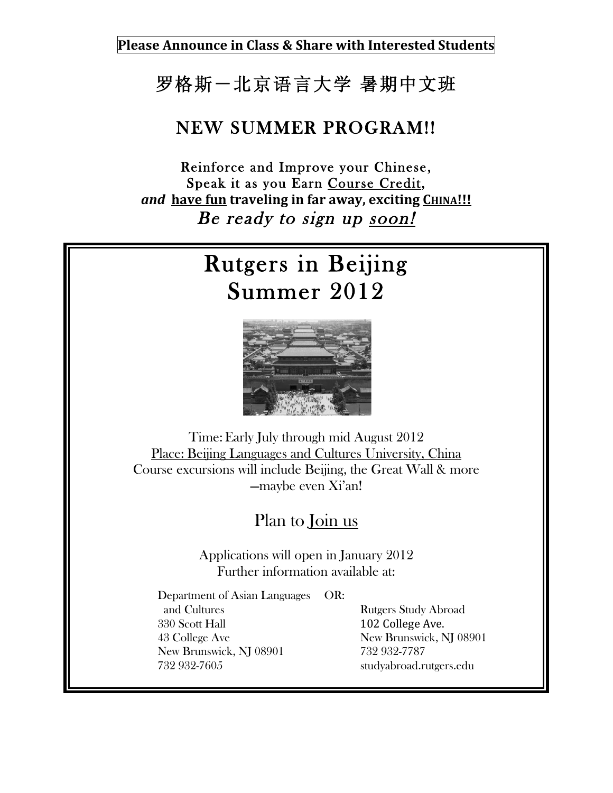**Please Announce in Class & Share with Interested Students**

## 罗格斯-北京语言大学 暑期中文班

## NEW SUMMER PROGRAM!!

Reinforce and Improve your Chinese, Speak it as you Earn Course Credit, *and* have fun traveling in far away, exciting CHINA!!! Be ready to sign up soon!

## Rutgers in Beijing Summer 2012



Time:Early July through mid August 2012 Place: Beijing Languages and Cultures University, China Course excursions will include Beijing, the Great Wall & more —maybe even Xi'an!

Plan to Join us

Applications will open in January 2012 Further information available at:

Department of Asian Languages OR: and Cultures **Rutgers** Study Abroad 330 Scott Hall 102 College Ave. 43 College Ave New Brunswick, NJ 08901 New Brunswick, NJ 08901 732 932-7787 732 932-7605 studyabroad.rutgers.edu